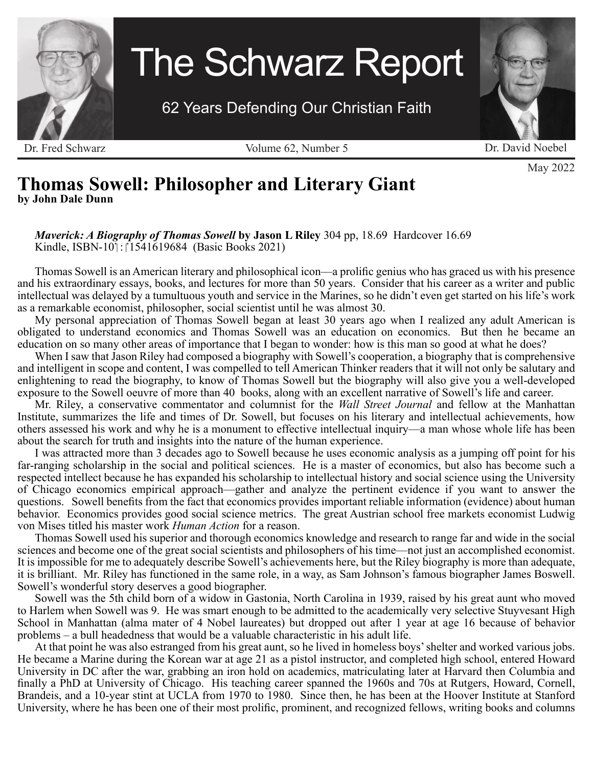

# The Schwarz Report

62 Years Defending Our Christian Faith

Dr. Fred Schwarz Volume 62, Number 5 Dr. David Noebel



May 2022

# **Thomas Sowell: Philosopher and Literary Giant by John Dale Dunn**

#### *Maverick: A Biography of Thomas Sowell* **by Jason L Riley** 304 pp, 18.69 Hardcover 16.69 Kindle, ISBN-10 $\frac{1}{1}$ :  $\frac{1541619684}{1541619684}$  (Basic Books 2021)

Thomas Sowell is an American literary and philosophical icon—a prolific genius who has graced us with his presence and his extraordinary essays, books, and lectures for more than 50 years. Consider that his career as a writer and public intellectual was delayed by a tumultuous youth and service in the Marines, so he didn't even get started on his life's work as a remarkable economist, philosopher, social scientist until he was almost 30.

My personal appreciation of Thomas Sowell began at least 30 years ago when I realized any adult American is obligated to understand economics and Thomas Sowell was an education on economics. But then he became an education on so many other areas of importance that I began to wonder: how is this man so good at what he does?

When I saw that Jason Riley had composed a biography with Sowell's cooperation, a biography that is comprehensive and intelligent in scope and content, I was compelled to tell American Thinker readers that it will not only be salutary and enlightening to read the biography, to know of Thomas Sowell but the biography will also give you a well-developed exposure to the Sowell oeuvre of more than 40 books, along with an excellent narrative of Sowell's life and career.

Mr. Riley, a conservative commentator and columnist for the *Wall Street Journal* and fellow at the Manhattan Institute, summarizes the life and times of Dr. Sowell, but focuses on his literary and intellectual achievements, how others assessed his work and why he is a monument to effective intellectual inquiry—a man whose whole life has been about the search for truth and insights into the nature of the human experience.

I was attracted more than 3 decades ago to Sowell because he uses economic analysis as a jumping off point for his far-ranging scholarship in the social and political sciences. He is a master of economics, but also has become such a respected intellect because he has expanded his scholarship to intellectual history and social science using the University of Chicago economics empirical approach—gather and analyze the pertinent evidence if you want to answer the questions. Sowell benefits from the fact that economics provides important reliable information (evidence) about human behavior. Economics provides good social science metrics. The great Austrian school free markets economist Ludwig von Mises titled his master work *Human Action* for a reason.

Thomas Sowell used his superior and thorough economics knowledge and research to range far and wide in the social sciences and become one of the great social scientists and philosophers of his time—not just an accomplished economist. It is impossible for me to adequately describe Sowell's achievements here, but the Riley biography is more than adequate, it is brilliant. Mr. Riley has functioned in the same role, in a way, as Sam Johnson's famous biographer James Boswell. Sowell's wonderful story deserves a good biographer.

Sowell was the 5th child born of a widow in Gastonia, North Carolina in 1939, raised by his great aunt who moved to Harlem when Sowell was 9. He was smart enough to be admitted to the academically very selective Stuyvesant High School in Manhattan (alma mater of 4 Nobel laureates) but dropped out after 1 year at age 16 because of behavior problems – a bull headedness that would be a valuable characteristic in his adult life.

At that point he was also estranged from his great aunt, so he lived in homeless boys' shelter and worked various jobs. He became a Marine during the Korean war at age 21 as a pistol instructor, and completed high school, entered Howard University in DC after the war, grabbing an iron hold on academics, matriculating later at Harvard then Columbia and finally a PhD at University of Chicago. His teaching career spanned the 1960s and 70s at Rutgers, Howard, Cornell, Brandeis, and a 10-year stint at UCLA from 1970 to 1980. Since then, he has been at the Hoover Institute at Stanford University, where he has been one of their most prolific, prominent, and recognized fellows, writing books and columns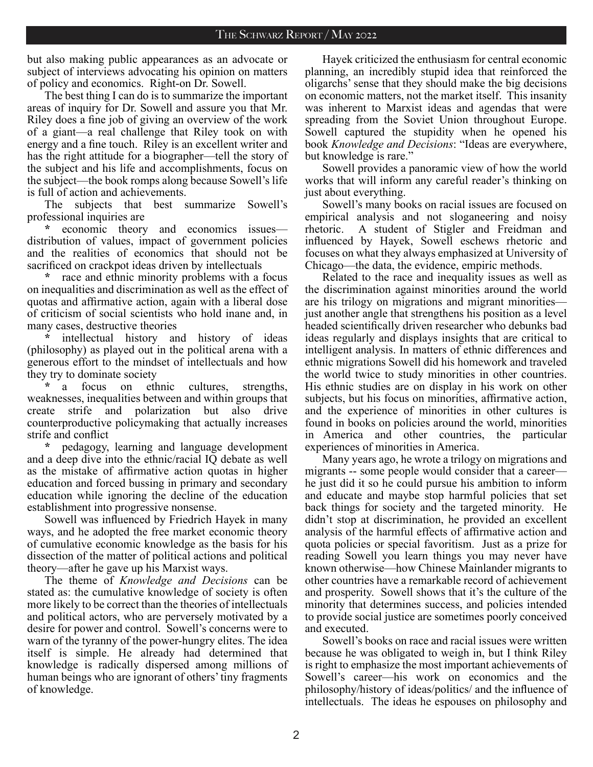but also making public appearances as an advocate or subject of interviews advocating his opinion on matters of policy and economics. Right-on Dr. Sowell.

The best thing I can do is to summarize the important areas of inquiry for Dr. Sowell and assure you that Mr. Riley does a fine job of giving an overview of the work of a giant—a real challenge that Riley took on with energy and a fine touch. Riley is an excellent writer and has the right attitude for a biographer—tell the story of the subject and his life and accomplishments, focus on the subject—the book romps along because Sowell's life is full of action and achievements.

The subjects that best summarize Sowell's professional inquiries are

**\*** economic theory and economics issues distribution of values, impact of government policies and the realities of economics that should not be sacrificed on crackpot ideas driven by intellectuals

**\*** race and ethnic minority problems with a focus on inequalities and discrimination as well as the effect of quotas and affirmative action, again with a liberal dose of criticism of social scientists who hold inane and, in many cases, destructive theories

**\*** intellectual history and history of ideas (philosophy) as played out in the political arena with a generous effort to the mindset of intellectuals and how they try to dominate society

**\*** a focus on ethnic cultures, strengths, weaknesses, inequalities between and within groups that create strife and polarization but also drive counterproductive policymaking that actually increases strife and conflict

**\*** pedagogy, learning and language development and a deep dive into the ethnic/racial IQ debate as well as the mistake of affirmative action quotas in higher education and forced bussing in primary and secondary education while ignoring the decline of the education establishment into progressive nonsense.

Sowell was influenced by Friedrich Hayek in many ways, and he adopted the free market economic theory of cumulative economic knowledge as the basis for his dissection of the matter of political actions and political theory—after he gave up his Marxist ways.

The theme of *Knowledge and Decisions* can be stated as: the cumulative knowledge of society is often more likely to be correct than the theories of intellectuals and political actors, who are perversely motivated by a desire for power and control. Sowell's concerns were to warn of the tyranny of the power-hungry elites. The idea itself is simple. He already had determined that knowledge is radically dispersed among millions of human beings who are ignorant of others' tiny fragments of knowledge.

Hayek criticized the enthusiasm for central economic planning, an incredibly stupid idea that reinforced the oligarchs' sense that they should make the big decisions on economic matters, not the market itself. This insanity was inherent to Marxist ideas and agendas that were spreading from the Soviet Union throughout Europe. Sowell captured the stupidity when he opened his book *Knowledge and Decisions*: "Ideas are everywhere, but knowledge is rare."

Sowell provides a panoramic view of how the world works that will inform any careful reader's thinking on just about everything.

Sowell's many books on racial issues are focused on empirical analysis and not sloganeering and noisy rhetoric. A student of Stigler and Freidman and influenced by Hayek, Sowell eschews rhetoric and focuses on what they always emphasized at University of Chicago—the data, the evidence, empiric methods.

Related to the race and inequality issues as well as the discrimination against minorities around the world are his trilogy on migrations and migrant minorities just another angle that strengthens his position as a level headed scientifically driven researcher who debunks bad ideas regularly and displays insights that are critical to intelligent analysis. In matters of ethnic differences and ethnic migrations Sowell did his homework and traveled the world twice to study minorities in other countries. His ethnic studies are on display in his work on other subjects, but his focus on minorities, affirmative action, and the experience of minorities in other cultures is found in books on policies around the world, minorities in America and other countries, the particular experiences of minorities in America.

Many years ago, he wrote a trilogy on migrations and migrants -- some people would consider that a career he just did it so he could pursue his ambition to inform and educate and maybe stop harmful policies that set back things for society and the targeted minority. He didn't stop at discrimination, he provided an excellent analysis of the harmful effects of affirmative action and quota policies or special favoritism. Just as a prize for reading Sowell you learn things you may never have known otherwise—how Chinese Mainlander migrants to other countries have a remarkable record of achievement and prosperity. Sowell shows that it's the culture of the minority that determines success, and policies intended to provide social justice are sometimes poorly conceived and executed.

Sowell's books on race and racial issues were written because he was obligated to weigh in, but I think Riley is right to emphasize the most important achievements of Sowell's career—his work on economics and the philosophy/history of ideas/politics/ and the influence of intellectuals. The ideas he espouses on philosophy and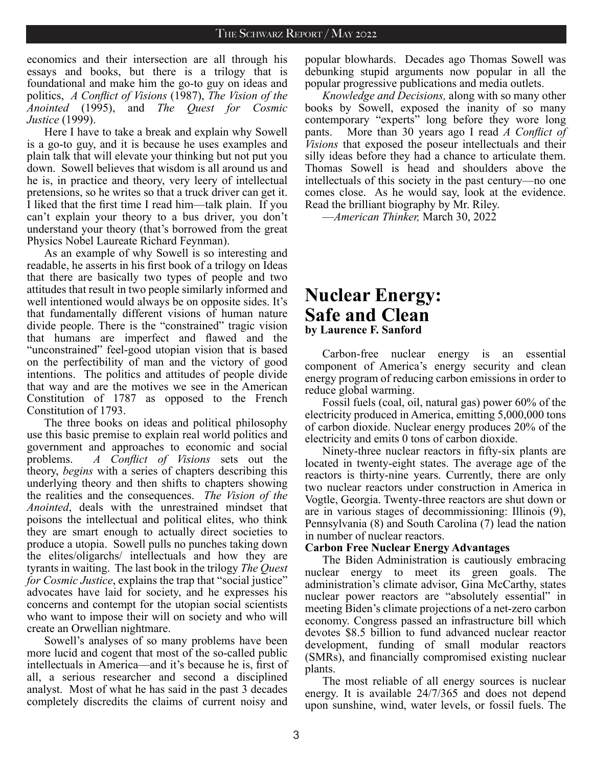economics and their intersection are all through his essays and books, but there is a trilogy that is foundational and make him the go-to guy on ideas and politics, *A Conflict of Visions* (1987), *The Vision of the Anointed* (1995), and *The Quest for Cosmic Justice* (1999).

Here I have to take a break and explain why Sowell is a go-to guy, and it is because he uses examples and plain talk that will elevate your thinking but not put you down. Sowell believes that wisdom is all around us and he is, in practice and theory, very leery of intellectual pretensions, so he writes so that a truck driver can get it. I liked that the first time I read him—talk plain. If you can't explain your theory to a bus driver, you don't understand your theory (that's borrowed from the great Physics Nobel Laureate Richard Feynman).

As an example of why Sowell is so interesting and readable, he asserts in his first book of a trilogy on Ideas that there are basically two types of people and two attitudes that result in two people similarly informed and well intentioned would always be on opposite sides. It's that fundamentally different visions of human nature divide people. There is the "constrained" tragic vision that humans are imperfect and flawed and the "unconstrained" feel-good utopian vision that is based on the perfectibility of man and the victory of good intentions. The politics and attitudes of people divide that way and are the motives we see in the American Constitution of 1787 as opposed to the French Constitution of 1793.

The three books on ideas and political philosophy use this basic premise to explain real world politics and government and approaches to economic and social problems. *A Conflict of Visions* sets out the theory, *begins* with a series of chapters describing this underlying theory and then shifts to chapters showing the realities and the consequences. *The Vision of the Anointed*, deals with the unrestrained mindset that poisons the intellectual and political elites, who think they are smart enough to actually direct societies to produce a utopia. Sowell pulls no punches taking down the elites/oligarchs/ intellectuals and how they are tyrants in waiting. The last book in the trilogy *The Quest for Cosmic Justice*, explains the trap that "social justice" advocates have laid for society, and he expresses his concerns and contempt for the utopian social scientists who want to impose their will on society and who will create an Orwellian nightmare.

Sowell's analyses of so many problems have been more lucid and cogent that most of the so-called public intellectuals in America—and it's because he is, first of all, a serious researcher and second a disciplined analyst. Most of what he has said in the past 3 decades completely discredits the claims of current noisy and

popular blowhards. Decades ago Thomas Sowell was debunking stupid arguments now popular in all the popular progressive publications and media outlets.

*Knowledge and Decisions,* along with so many other books by Sowell, exposed the inanity of so many contemporary "experts" long before they wore long pants. More than 30 years ago I read *A Conflict of Visions* that exposed the poseur intellectuals and their silly ideas before they had a chance to articulate them. Thomas Sowell is head and shoulders above the intellectuals of this society in the past century—no one comes close. As he would say, look at the evidence. Read the brilliant biography by Mr. Riley.

—*American Thinker,* March 30, 2022

# **Nuclear Energy: Safe and Clean by Laurence F. Sanford**

Carbon-free nuclear energy is an essential component of America's energy security and clean energy program of reducing carbon emissions in order to reduce global warming.

Fossil fuels (coal, oil, natural gas) power 60% of the electricity produced in America, emitting 5,000,000 tons of carbon dioxide. Nuclear energy produces 20% of the electricity and emits 0 tons of carbon dioxide.

Ninety-three nuclear reactors in fifty-six plants are located in twenty-eight states. The average age of the reactors is thirty-nine years. Currently, there are only two nuclear reactors under construction in America in Vogtle, Georgia. Twenty-three reactors are shut down or are in various stages of decommissioning: Illinois (9), Pennsylvania (8) and South Carolina (7) lead the nation in number of nuclear reactors.

#### **Carbon Free Nuclear Energy Advantages**

The Biden Administration is cautiously embracing nuclear energy to meet its green goals. The administration's climate advisor, Gina McCarthy, states nuclear power reactors are "absolutely essential" in meeting Biden's climate projections of a net-zero carbon economy. Congress passed an infrastructure bill which devotes \$8.5 billion to fund advanced nuclear reactor development, funding of small modular reactors (SMRs), and financially compromised existing nuclear plants.

The most reliable of all energy sources is nuclear energy. It is available 24/7/365 and does not depend upon sunshine, wind, water levels, or fossil fuels. The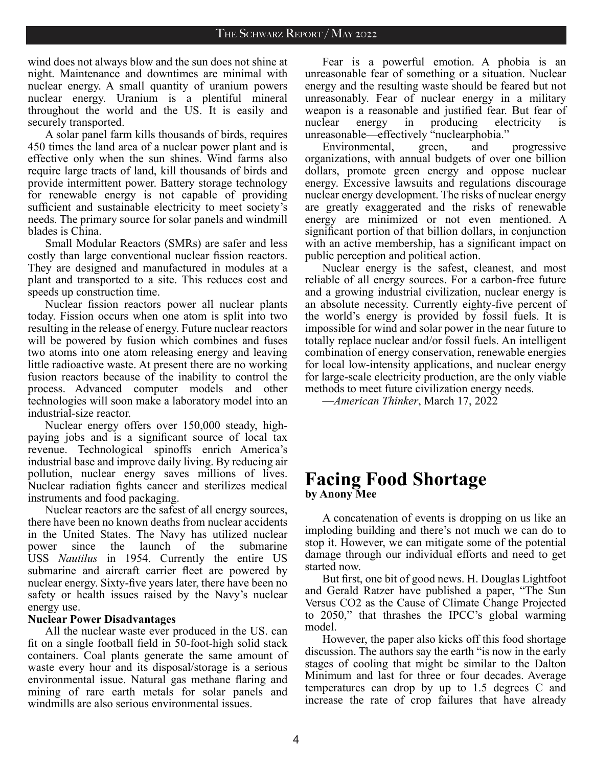wind does not always blow and the sun does not shine at night. Maintenance and downtimes are minimal with nuclear energy. A small quantity of uranium powers nuclear energy. Uranium is a plentiful mineral throughout the world and the US. It is easily and securely transported.

A solar panel farm kills thousands of birds, requires 450 times the land area of a nuclear power plant and is effective only when the sun shines. Wind farms also require large tracts of land, kill thousands of birds and provide intermittent power. Battery storage technology for renewable energy is not capable of providing sufficient and sustainable electricity to meet society's needs. The primary source for solar panels and windmill blades is China.

Small Modular Reactors (SMRs) are safer and less costly than large conventional nuclear fission reactors. They are designed and manufactured in modules at a plant and transported to a site. This reduces cost and speeds up construction time.

Nuclear fission reactors power all nuclear plants today. Fission occurs when one atom is split into two resulting in the release of energy. Future nuclear reactors will be powered by fusion which combines and fuses two atoms into one atom releasing energy and leaving little radioactive waste. At present there are no working fusion reactors because of the inability to control the process. Advanced computer models and other technologies will soon make a laboratory model into an industrial-size reactor.

Nuclear energy offers over 150,000 steady, highpaying jobs and is a significant source of local tax revenue. Technological spinoffs enrich America's industrial base and improve daily living. By reducing air pollution, nuclear energy saves millions of lives. Nuclear radiation fights cancer and sterilizes medical instruments and food packaging.

Nuclear reactors are the safest of all energy sources, there have been no known deaths from nuclear accidents in the United States. The Navy has utilized nuclear power since the launch of the submarine USS *Nautilus* in 1954. Currently the entire US submarine and aircraft carrier fleet are powered by nuclear energy. Sixty-five years later, there have been no safety or health issues raised by the Navy's nuclear energy use.

#### **Nuclear Power Disadvantages**

All the nuclear waste ever produced in the US. can fit on a single football field in 50-foot-high solid stack containers. Coal plants generate the same amount of waste every hour and its disposal/storage is a serious environmental issue. Natural gas methane flaring and mining of rare earth metals for solar panels and windmills are also serious environmental issues.

Fear is a powerful emotion. A phobia is an unreasonable fear of something or a situation. Nuclear energy and the resulting waste should be feared but not unreasonably. Fear of nuclear energy in a military weapon is a reasonable and justified fear. But fear of nuclear energy in producing electricity unreasonable—effectively "nuclearphobia."

Environmental, green, and progressive organizations, with annual budgets of over one billion dollars, promote green energy and oppose nuclear energy. Excessive lawsuits and regulations discourage nuclear energy development. The risks of nuclear energy are greatly exaggerated and the risks of renewable energy are minimized or not even mentioned. A significant portion of that billion dollars, in conjunction with an active membership, has a significant impact on public perception and political action.

Nuclear energy is the safest, cleanest, and most reliable of all energy sources. For a carbon-free future and a growing industrial civilization, nuclear energy is an absolute necessity. Currently eighty-five percent of the world's energy is provided by fossil fuels. It is impossible for wind and solar power in the near future to totally replace nuclear and/or fossil fuels. An intelligent combination of energy conservation, renewable energies for local low-intensity applications, and nuclear energy for large-scale electricity production, are the only viable methods to meet future civilization energy needs.

—*American Thinker*, March 17, 2022

## **Facing Food Shortage by Anony Mee**

A concatenation of events is dropping on us like an imploding building and there's not much we can do to stop it. However, we can mitigate some of the potential damage through our individual efforts and need to get started now.

But first, one bit of good news. H. Douglas Lightfoot and Gerald Ratzer have published a paper, "The Sun Versus CO2 as the Cause of Climate Change Projected to 2050," that thrashes the IPCC's global warming model.

However, the paper also kicks off this food shortage discussion. The authors say the earth "is now in the early stages of cooling that might be similar to the Dalton Minimum and last for three or four decades. Average temperatures can drop by up to 1.5 degrees C and increase the rate of crop failures that have already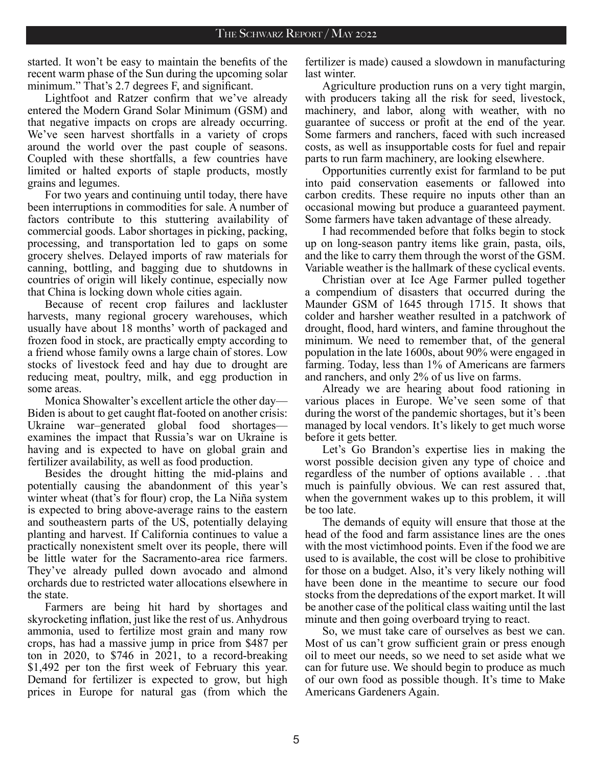started. It won't be easy to maintain the benefits of the recent warm phase of the Sun during the upcoming solar minimum." That's 2.7 degrees F, and significant.

Lightfoot and Ratzer confirm that we've already entered the Modern Grand Solar Minimum (GSM) and that negative impacts on crops are already occurring. We've seen harvest shortfalls in a variety of crops around the world over the past couple of seasons. Coupled with these shortfalls, a few countries have limited or halted exports of staple products, mostly grains and legumes.

For two years and continuing until today, there have been interruptions in commodities for sale. A number of factors contribute to this stuttering availability of commercial goods. Labor shortages in picking, packing, processing, and transportation led to gaps on some grocery shelves. Delayed imports of raw materials for canning, bottling, and bagging due to shutdowns in countries of origin will likely continue, especially now that China is locking down whole cities again.

Because of recent crop failures and lackluster harvests, many regional grocery warehouses, which usually have about 18 months' worth of packaged and frozen food in stock, are practically empty according to a friend whose family owns a large chain of stores. Low stocks of livestock feed and hay due to drought are reducing meat, poultry, milk, and egg production in some areas.

Monica Showalter's excellent article the other day— Biden is about to get caught flat-footed on another crisis: Ukraine war–generated global food shortages examines the impact that Russia's war on Ukraine is having and is expected to have on global grain and fertilizer availability, as well as food production.

Besides the drought hitting the mid-plains and potentially causing the abandonment of this year's winter wheat (that's for flour) crop, the La Niña system is expected to bring above-average rains to the eastern and southeastern parts of the US, potentially delaying planting and harvest. If California continues to value a practically nonexistent smelt over its people, there will be little water for the Sacramento-area rice farmers. They've already pulled down avocado and almond orchards due to restricted water allocations elsewhere in the state.

Farmers are being hit hard by shortages and skyrocketing inflation, just like the rest of us. Anhydrous ammonia, used to fertilize most grain and many row crops, has had a massive jump in price from \$487 per ton in 2020, to \$746 in 2021, to a record-breaking \$1,492 per ton the first week of February this year. Demand for fertilizer is expected to grow, but high prices in Europe for natural gas (from which the

fertilizer is made) caused a slowdown in manufacturing last winter.

Agriculture production runs on a very tight margin, with producers taking all the risk for seed, livestock, machinery, and labor, along with weather, with no guarantee of success or profit at the end of the year. Some farmers and ranchers, faced with such increased costs, as well as insupportable costs for fuel and repair parts to run farm machinery, are looking elsewhere.

Opportunities currently exist for farmland to be put into paid conservation easements or fallowed into carbon credits. These require no inputs other than an occasional mowing but produce a guaranteed payment. Some farmers have taken advantage of these already.

I had recommended before that folks begin to stock up on long-season pantry items like grain, pasta, oils, and the like to carry them through the worst of the GSM. Variable weather is the hallmark of these cyclical events.

Christian over at Ice Age Farmer pulled together a compendium of disasters that occurred during the Maunder GSM of 1645 through 1715. It shows that colder and harsher weather resulted in a patchwork of drought, flood, hard winters, and famine throughout the minimum. We need to remember that, of the general population in the late 1600s, about 90% were engaged in farming. Today, less than 1% of Americans are farmers and ranchers, and only 2% of us live on farms.

Already we are hearing about food rationing in various places in Europe. We've seen some of that during the worst of the pandemic shortages, but it's been managed by local vendors. It's likely to get much worse before it gets better.

Let's Go Brandon's expertise lies in making the worst possible decision given any type of choice and regardless of the number of options available . . .that much is painfully obvious. We can rest assured that, when the government wakes up to this problem, it will be too late.

The demands of equity will ensure that those at the head of the food and farm assistance lines are the ones with the most victimhood points. Even if the food we are used to is available, the cost will be close to prohibitive for those on a budget. Also, it's very likely nothing will have been done in the meantime to secure our food stocks from the depredations of the export market. It will be another case of the political class waiting until the last minute and then going overboard trying to react.

So, we must take care of ourselves as best we can. Most of us can't grow sufficient grain or press enough oil to meet our needs, so we need to set aside what we can for future use. We should begin to produce as much of our own food as possible though. It's time to Make Americans Gardeners Again.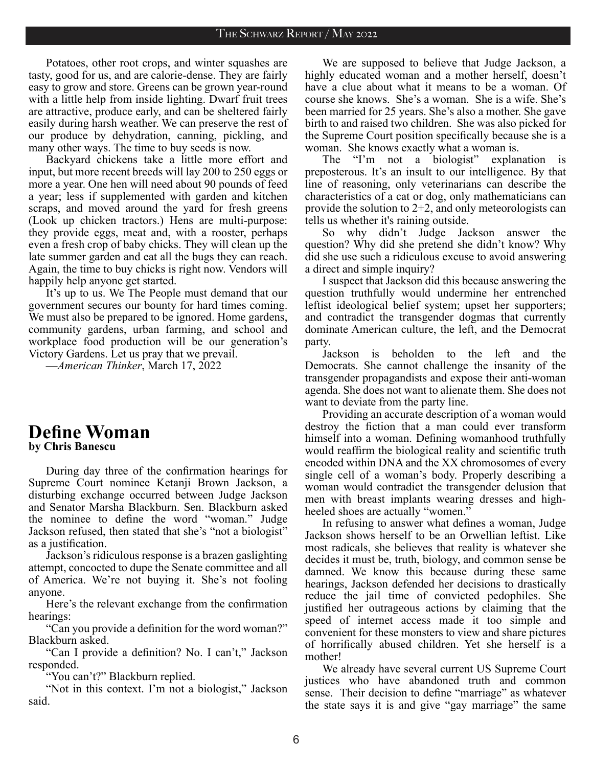Potatoes, other root crops, and winter squashes are tasty, good for us, and are calorie-dense. They are fairly easy to grow and store. Greens can be grown year-round with a little help from inside lighting. Dwarf fruit trees are attractive, produce early, and can be sheltered fairly easily during harsh weather. We can preserve the rest of our produce by dehydration, canning, pickling, and many other ways. The time to buy seeds is now.

Backyard chickens take a little more effort and input, but more recent breeds will lay 200 to 250 eggs or more a year. One hen will need about 90 pounds of feed a year; less if supplemented with garden and kitchen scraps, and moved around the yard for fresh greens (Look up chicken tractors.) Hens are multi-purpose: they provide eggs, meat and, with a rooster, perhaps even a fresh crop of baby chicks. They will clean up the late summer garden and eat all the bugs they can reach. Again, the time to buy chicks is right now. Vendors will happily help anyone get started.

It's up to us. We The People must demand that our government secures our bounty for hard times coming. We must also be prepared to be ignored. Home gardens, community gardens, urban farming, and school and workplace food production will be our generation's Victory Gardens. Let us pray that we prevail.

—*American Thinker*, March 17, 2022

### **Define Woman by Chris Banescu**

During day three of the confirmation hearings for Supreme Court nominee Ketanji Brown Jackson, a disturbing exchange occurred between Judge Jackson and Senator Marsha Blackburn. Sen. Blackburn asked the nominee to define the word "woman." Judge Jackson refused, then stated that she's "not a biologist" as a justification.

Jackson's ridiculous response is a brazen gaslighting attempt, concocted to dupe the Senate committee and all of America. We're not buying it. She's not fooling anyone.

Here's the relevant exchange from the confirmation hearings:

"Can you provide a definition for the word woman?" Blackburn asked.

"Can I provide a definition? No. I can't," Jackson responded.

"You can't?" Blackburn replied.

"Not in this context. I'm not a biologist," Jackson said.

We are supposed to believe that Judge Jackson, a highly educated woman and a mother herself, doesn't have a clue about what it means to be a woman. Of course she knows. She's a woman. She is a wife. She's been married for 25 years. She's also a mother. She gave birth to and raised two children. She was also picked for the Supreme Court position specifically because she is a woman. She knows exactly what a woman is.

The "I'm not a biologist" explanation is preposterous. It's an insult to our intelligence. By that line of reasoning, only veterinarians can describe the characteristics of a cat or dog, only mathematicians can provide the solution to 2+2, and only meteorologists can tells us whether it's raining outside.

So why didn't Judge Jackson answer the question? Why did she pretend she didn't know? Why did she use such a ridiculous excuse to avoid answering a direct and simple inquiry?

I suspect that Jackson did this because answering the question truthfully would undermine her entrenched leftist ideological belief system; upset her supporters; and contradict the transgender dogmas that currently dominate American culture, the left, and the Democrat party.

Jackson is beholden to the left and the Democrats. She cannot challenge the insanity of the transgender propagandists and expose their anti-woman agenda. She does not want to alienate them. She does not want to deviate from the party line.

Providing an accurate description of a woman would destroy the fiction that a man could ever transform himself into a woman. Defining womanhood truthfully would reaffirm the biological reality and scientific truth encoded within DNA and the XX chromosomes of every single cell of a woman's body. Properly describing a woman would contradict the transgender delusion that men with breast implants wearing dresses and highheeled shoes are actually "women."

In refusing to answer what defines a woman, Judge Jackson shows herself to be an Orwellian leftist. Like most radicals, she believes that reality is whatever she decides it must be, truth, biology, and common sense be damned. We know this because during these same hearings, Jackson defended her decisions to drastically reduce the jail time of convicted pedophiles. She justified her outrageous actions by claiming that the speed of internet access made it too simple and convenient for these monsters to view and share pictures of horrifically abused children. Yet she herself is a mother!

We already have several current US Supreme Court justices who have abandoned truth and common sense. Their decision to define "marriage" as whatever the state says it is and give "gay marriage" the same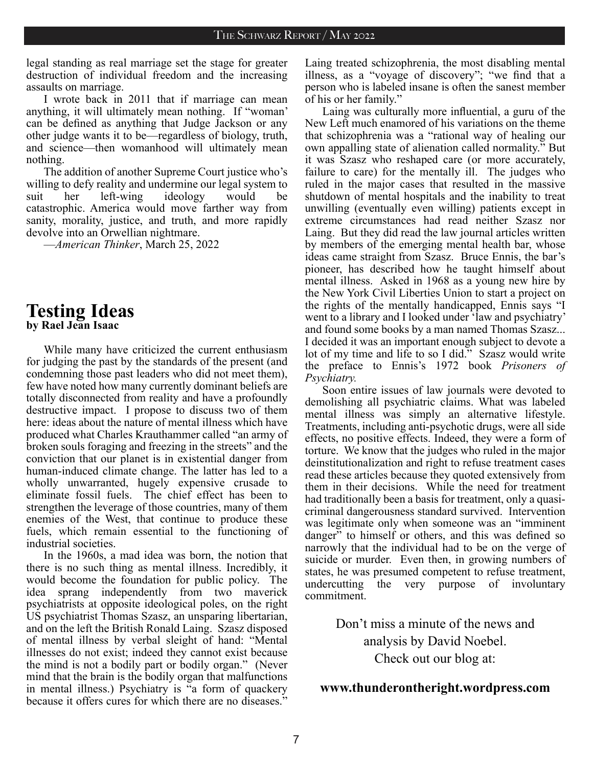legal standing as real marriage set the stage for greater destruction of individual freedom and the increasing assaults on marriage.

I wrote back in 2011 that if marriage can mean anything, it will ultimately mean nothing. If "woman' can be defined as anything that Judge Jackson or any other judge wants it to be—regardless of biology, truth, and science—then womanhood will ultimately mean nothing.

The addition of another Supreme Court justice who's willing to defy reality and undermine our legal system to suit her left-wing ideology would be catastrophic. America would move farther way from sanity, morality, justice, and truth, and more rapidly devolve into an Orwellian nightmare.

—*American Thinker*, March 25, 2022

# **Testing Ideas**

**by Rael Jean Isaac**

While many have criticized the current enthusiasm for judging the past by the standards of the present (and condemning those past leaders who did not meet them), few have noted how many currently dominant beliefs are totally disconnected from reality and have a profoundly destructive impact. I propose to discuss two of them here: ideas about the nature of mental illness which have produced what Charles Krauthammer called "an army of broken souls foraging and freezing in the streets" and the conviction that our planet is in existential danger from human-induced climate change. The latter has led to a wholly unwarranted, hugely expensive crusade to eliminate fossil fuels. The chief effect has been to strengthen the leverage of those countries, many of them enemies of the West, that continue to produce these fuels, which remain essential to the functioning of industrial societies.

In the 1960s, a mad idea was born, the notion that there is no such thing as mental illness. Incredibly, it would become the foundation for public policy. The idea sprang independently from two maverick psychiatrists at opposite ideological poles, on the right US psychiatrist Thomas Szasz, an unsparing libertarian, and on the left the British Ronald Laing. Szasz disposed of mental illness by verbal sleight of hand: "Mental illnesses do not exist; indeed they cannot exist because the mind is not a bodily part or bodily organ." (Never mind that the brain is the bodily organ that malfunctions in mental illness.) Psychiatry is "a form of quackery because it offers cures for which there are no diseases."

Laing treated schizophrenia, the most disabling mental illness, as a "voyage of discovery"; "we find that a person who is labeled insane is often the sanest member of his or her family."

Laing was culturally more influential, a guru of the New Left much enamored of his variations on the theme that schizophrenia was a "rational way of healing our own appalling state of alienation called normality." But it was Szasz who reshaped care (or more accurately, failure to care) for the mentally ill. The judges who ruled in the major cases that resulted in the massive shutdown of mental hospitals and the inability to treat unwilling (eventually even willing) patients except in extreme circumstances had read neither Szasz nor Laing. But they did read the law journal articles written by members of the emerging mental health bar, whose ideas came straight from Szasz. Bruce Ennis, the bar's pioneer, has described how he taught himself about mental illness. Asked in 1968 as a young new hire by the New York Civil Liberties Union to start a project on the rights of the mentally handicapped, Ennis says "I went to a library and I looked under 'law and psychiatry' and found some books by a man named Thomas Szasz... I decided it was an important enough subject to devote a lot of my time and life to so I did." Szasz would write the preface to Ennis's 1972 book *Prisoners of Psychiatry.*

Soon entire issues of law journals were devoted to demolishing all psychiatric claims. What was labeled mental illness was simply an alternative lifestyle. Treatments, including anti-psychotic drugs, were all side effects, no positive effects. Indeed, they were a form of torture. We know that the judges who ruled in the major deinstitutionalization and right to refuse treatment cases read these articles because they quoted extensively from them in their decisions. While the need for treatment had traditionally been a basis for treatment, only a quasicriminal dangerousness standard survived. Intervention was legitimate only when someone was an "imminent danger" to himself or others, and this was defined so narrowly that the individual had to be on the verge of suicide or murder. Even then, in growing numbers of states, he was presumed competent to refuse treatment, undercutting the very purpose of involuntary commitment.

> Don't miss a minute of the news and analysis by David Noebel. Check out our blog at:

#### **www.thunderontheright.wordpress.com**